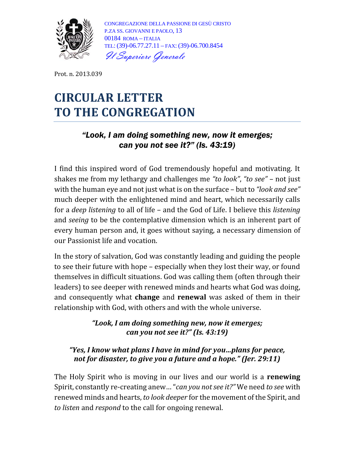

CONGREGAZIONE DELLA PASSIONE DI GESÙ CRISTO P.ZA SS. GIOVANNI E PAOLO, 13 00184 ROMA – ITALIA TEL: (39)-06.77.27.11 – FAX: (39)-06.700.8454 Il Superiore Generale

Prot. n. 2013.039

# **CIRCULAR LETTER TO THE CONGREGATION**

## "Look, I am doing something new, now it emerges; can you not see it?" (Is. 43:19)

I find this inspired word of God tremendously hopeful and motivating. It shakes me from my lethargy and challenges me *"to look"*, *"to see"* – not just with the human eye and not just what is on the surface – but to *"look and see"* much deeper with the enlightened mind and heart, which necessarily calls for a *deep listening* to all of life – and the God of Life. I believe this *listening* and *seeing* to be the contemplative dimension which is an inherent part of every human person and, it goes without saying, a necessary dimension of our Passionist life and vocation.

In the story of salvation, God was constantly leading and guiding the people to see their future with hope – especially when they lost their way, or found themselves in difficult situations. God was calling them (often through their leaders) to see deeper with renewed minds and hearts what God was doing, and consequently what **change** and **renewal** was asked of them in their relationship with God, with others and with the whole universe.

#### *"Look, I am doing something new, now it emerges; can you not see it?" (Is. 43:19)*

#### *"Yes, I know what plans I have in mind for you…plans for peace, not for disaster, to give you a future and a hope." (Jer. 29:11)*

The Holy Spirit who is moving in our lives and our world is a **renewing** Spirit, constantly re-creating anew… "*can you not see it?"* We need *to see* with renewed minds and hearts, *to look deeper* for the movement of the Spirit, and *to listen* and *respond* to the call for ongoing renewal.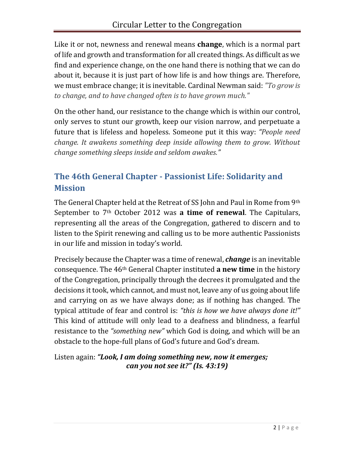Like it or not, newness and renewal means **change**, which is a normal part of life and growth and transformation for all created things. As difficult as we find and experience change, on the one hand there is nothing that we can do about it, because it is just part of how life is and how things are. Therefore, we must embrace change; it is inevitable. Cardinal Newman said: *"To grow is to change, and to have changed often is to have grown much."*

On the other hand, our resistance to the change which is within our control, only serves to stunt our growth, keep our vision narrow, and perpetuate a future that is lifeless and hopeless. Someone put it this way: *"People need change. It awakens something deep inside allowing them to grow. Without change something sleeps inside and seldom awakes."*

# **The 46th General Chapter - Passionist Life: Solidarity and Mission**

The General Chapter held at the Retreat of SS John and Paul in Rome from 9th September to 7th October 2012 was **a time of renewal**. The Capitulars, representing all the areas of the Congregation, gathered to discern and to listen to the Spirit renewing and calling us to be more authentic Passionists in our life and mission in today's world.

Precisely because the Chapter was a time of renewal, *change* is an inevitable consequence. The 46th General Chapter instituted **a new time** in the history of the Congregation, principally through the decrees it promulgated and the decisions it took, which cannot, and must not, leave any of us going about life and carrying on as we have always done; as if nothing has changed. The typical attitude of fear and control is: *"this is how we have always done it!"* This kind of attitude will only lead to a deafness and blindness, a fearful resistance to the *"something new"* which God is doing, and which will be an obstacle to the hope-full plans of God's future and God's dream.

Listen again: *"Look, I am doing something new, now it emerges; can you not see it?" (Is. 43:19)*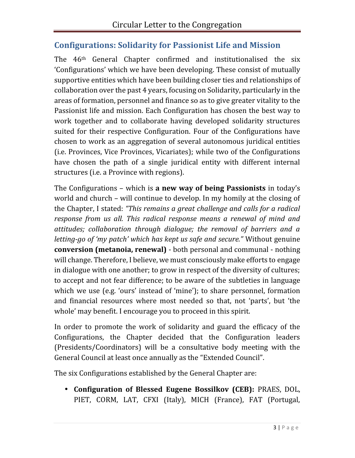# **Configurations: Solidarity for Passionist Life and Mission**

The 46th General Chapter confirmed and institutionalised the six 'Configurations' which we have been developing. These consist of mutually supportive entities which have been building closer ties and relationships of collaboration over the past 4 years, focusing on Solidarity, particularly in the areas of formation, personnel and finance so as to give greater vitality to the Passionist life and mission. Each Configuration has chosen the best way to work together and to collaborate having developed solidarity structures suited for their respective Configuration. Four of the Configurations have chosen to work as an aggregation of several autonomous juridical entities (i.e. Provinces, Vice Provinces, Vicariates); while two of the Configurations have chosen the path of a single juridical entity with different internal structures (i.e. a Province with regions).

The Configurations – which is **a new way of being Passionists** in today's world and church – will continue to develop. In my homily at the closing of the Chapter, I stated: *"This remains a great challenge and calls for a radical response from us all. This radical response means a renewal of mind and attitudes; collaboration through dialogue; the removal of barriers and a letting-go of 'my patch' which has kept us safe and secure."* Without genuine **conversion (metanoia, renewal)** - both personal and communal - nothing will change. Therefore, I believe, we must consciously make efforts to engage in dialogue with one another; to grow in respect of the diversity of cultures; to accept and not fear difference; to be aware of the subtleties in language which we use (e.g. 'ours' instead of 'mine'); to share personnel, formation and financial resources where most needed so that, not 'parts', but 'the whole' may benefit. I encourage you to proceed in this spirit.

In order to promote the work of solidarity and guard the efficacy of the Configurations, the Chapter decided that the Configuration leaders (Presidents/Coordinators) will be a consultative body meeting with the General Council at least once annually as the "Extended Council".

The six Configurations established by the General Chapter are:

35, DOL,<br>Portugal,<br>3 | P a g e **Configuration of Blessed Eugene Bossilkov (CEB):** PRAES, DOL, PIET, CORM, LAT, CFXI (Italy), MICH (France), FAT (Portugal,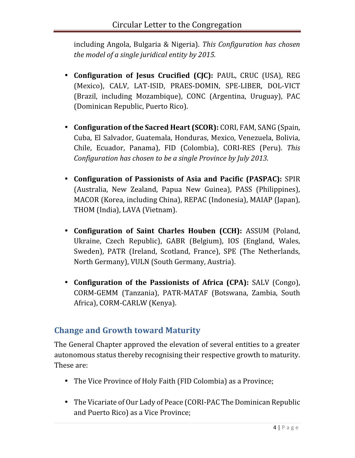including Angola, Bulgaria & Nigeria). *This Configuration has chosen the model of a single juridical entity by 2015.*

- **Configuration of Jesus Crucified (CJC):** PAUL, CRUC (USA), REG (Mexico), CALV, LAT-ISID, PRAES-DOMIN, SPE-LIBER, DOL-VICT (Brazil, including Mozambique), CONC (Argentina, Uruguay), PAC (Dominican Republic, Puerto Rico).
- **Configuration of the Sacred Heart (SCOR):** CORI, FAM, SANG (Spain, Cuba, El Salvador, Guatemala, Honduras, Mexico, Venezuela, Bolivia, Chile, Ecuador, Panama), FID (Colombia), CORI-RES (Peru). *This Configuration has chosen to be a single Province by July 2013.*
- **Configuration of Passionists of Asia and Pacific (PASPAC):** SPIR (Australia, New Zealand, Papua New Guinea), PASS (Philippines), MACOR (Korea, including China), REPAC (Indonesia), MAIAP (Japan), THOM (India), LAVA (Vietnam).
- **Configuration of Saint Charles Houben (CCH):** ASSUM (Poland, Ukraine, Czech Republic), GABR (Belgium), IOS (England, Wales, Sweden), PATR (Ireland, Scotland, France), SPE (The Netherlands, North Germany), VULN (South Germany, Austria).
- **Configuration of the Passionists of Africa (CPA):** SALV (Congo), CORM-GEMM (Tanzania), PATR-MATAF (Botswana, Zambia, South Africa), CORM-CARLW (Kenya).

# **Change and Growth toward Maturity**

The General Chapter approved the elevation of several entities to a greater autonomous status thereby recognising their respective growth to maturity. These are:

- The Vice Province of Holy Faith (FID Colombia) as a Province;
- Republic<br>4 | P a g e The Vicariate of Our Lady of Peace (CORI-PAC The Dominican Republic and Puerto Rico) as a Vice Province;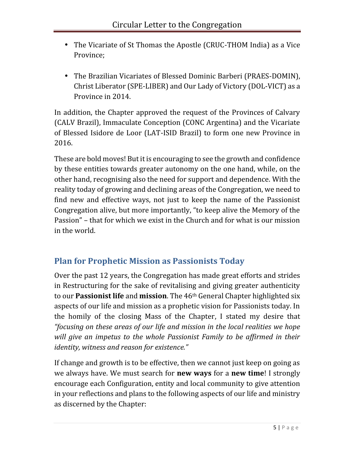- The Vicariate of St Thomas the Apostle (CRUC-THOM India) as a Vice Province;
- The Brazilian Vicariates of Blessed Dominic Barberi (PRAES-DOMIN), Christ Liberator (SPE-LIBER) and Our Lady of Victory (DOL-VICT) as a Province in 2014.

In addition, the Chapter approved the request of the Provinces of Calvary (CALV Brazil), Immaculate Conception (CONC Argentina) and the Vicariate of Blessed Isidore de Loor (LAT-ISID Brazil) to form one new Province in 2016.

These are bold moves! But it is encouraging to see the growth and confidence by these entities towards greater autonomy on the one hand, while, on the other hand, recognising also the need for support and dependence. With the reality today of growing and declining areas of the Congregation, we need to find new and effective ways, not just to keep the name of the Passionist Congregation alive, but more importantly, "to keep alive the Memory of the Passion" – that for which we exist in the Church and for what is our mission in the world.

# **Plan for Prophetic Mission as Passionists Today**

Over the past 12 years, the Congregation has made great efforts and strides in Restructuring for the sake of revitalising and giving greater authenticity to our **Passionist life** and **mission**. The 46th General Chapter highlighted six aspects of our life and mission as a prophetic vision for Passionists today. In the homily of the closing Mass of the Chapter, I stated my desire that *"focusing on these areas of our life and mission in the local realities we hope will give an impetus to the whole Passionist Family to be affirmed in their identity, witness and reason for existence."*

ministry<br>5 | P a g e If change and growth is to be effective, then we cannot just keep on going as we always have. We must search for **new ways** for a **new time**! I strongly encourage each Configuration, entity and local community to give attention in your reflections and plans to the following aspects of our life and ministry as discerned by the Chapter: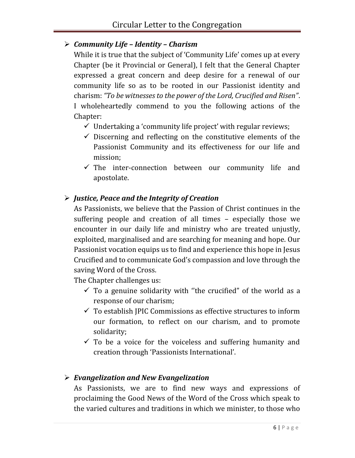### *Community Life – Identity – Charism*

While it is true that the subject of 'Community Life' comes up at every Chapter (be it Provincial or General), I felt that the General Chapter expressed a great concern and deep desire for a renewal of our community life so as to be rooted in our Passionist identity and charism: *"To be witnesses to the power of the Lord, Crucified and Risen"*. I wholeheartedly commend to you the following actions of the Chapter:

- $\checkmark$  Undertaking a 'community life project' with regular reviews;
- $\checkmark$  Discerning and reflecting on the constitutive elements of the Passionist Community and its effectiveness for our life and mission;
- $\checkmark$  The inter-connection between our community life and apostolate.

## *Justice, Peace and the Integrity of Creation*

As Passionists, we believe that the Passion of Christ continues in the suffering people and creation of all times – especially those we encounter in our daily life and ministry who are treated unjustly, exploited, marginalised and are searching for meaning and hope. Our Passionist vocation equips us to find and experience this hope in Jesus Crucified and to communicate God's compassion and love through the saving Word of the Cross.

The Chapter challenges us:

- $\checkmark$  To a genuine solidarity with "the crucified" of the world as a response of our charism;
- $\checkmark$  To establish JPIC Commissions as effective structures to inform our formation, to reflect on our charism, and to promote solidarity;
- $\checkmark$  To be a voice for the voiceless and suffering humanity and creation through 'Passionists International'.

## *Evangelization and New Evangelization*

speak to<br>ose who<br> $\frac{6}{7}$  | Page As Passionists, we are to find new ways and expressions of proclaiming the Good News of the Word of the Cross which speak to the varied cultures and traditions in which we minister, to those who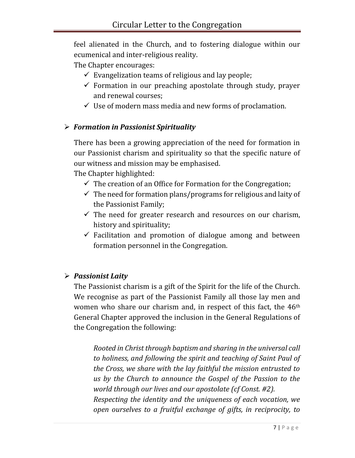feel alienated in the Church, and to fostering dialogue within our ecumenical and inter-religious reality.

The Chapter encourages:

- $\checkmark$  Evangelization teams of religious and lay people;
- $\checkmark$  Formation in our preaching apostolate through study, prayer and renewal courses;
- $\checkmark$  Use of modern mass media and new forms of proclamation.

#### *Formation in Passionist Spirituality*

There has been a growing appreciation of the need for formation in our Passionist charism and spirituality so that the specific nature of our witness and mission may be emphasised.

The Chapter highlighted:

- $\checkmark$  The creation of an Office for Formation for the Congregation;
- $\checkmark$  The need for formation plans/programs for religious and laity of the Passionist Family;
- $\checkmark$  The need for greater research and resources on our charism, history and spirituality;
- $\checkmark$  Facilitation and promotion of dialogue among and between formation personnel in the Congregation.

#### *Passionist Laity*

The Passionist charism is a gift of the Spirit for the life of the Church. We recognise as part of the Passionist Family all those lay men and women who share our charism and, in respect of this fact, the 46<sup>th</sup> General Chapter approved the inclusion in the General Regulations of the Congregation the following:

.<br>Ition, we<br>ocity, to<br>7 | P a g e *Rooted in Christ through baptism and sharing in the universal call to holiness, and following the spirit and teaching of Saint Paul of the Cross, we share with the lay faithful the mission entrusted to us by the Church to announce the Gospel of the Passion to the world through our lives and our apostolate (cf Const. #2). Respecting the identity and the uniqueness of each vocation, we open ourselves to a fruitful exchange of gifts, in reciprocity, to*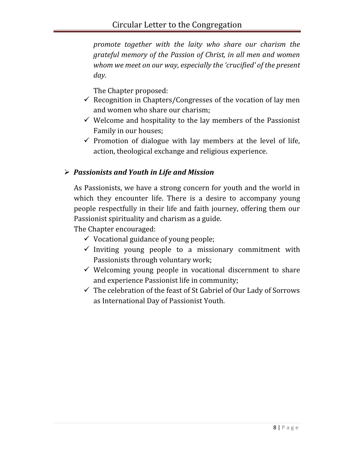*promote together with the laity who share our charism the grateful memory of the Passion of Christ, in all men and women whom we meet on our way, especially the 'crucified' of the present day.*

The Chapter proposed:

- $\checkmark$  Recognition in Chapters/Congresses of the vocation of lay men and women who share our charism;
- $\checkmark$  Welcome and hospitality to the lay members of the Passionist Family in our houses;
- $\checkmark$  Promotion of dialogue with lay members at the level of life, action, theological exchange and religious experience.

#### *Passionists and Youth in Life and Mission*

As Passionists, we have a strong concern for youth and the world in which they encounter life. There is a desire to accompany young people respectfully in their life and faith journey, offering them our Passionist spirituality and charism as a guide.

The Chapter encouraged:

- $\checkmark$  Vocational guidance of young people;
- $\checkmark$  Inviting young people to a missionary commitment with Passionists through voluntary work;
- $\checkmark$  Welcoming young people in vocational discernment to share and experience Passionist life in community;
- $\checkmark$  The celebration of the feast of St Gabriel of Our Lady of Sorrows as International Day of Passionist Youth.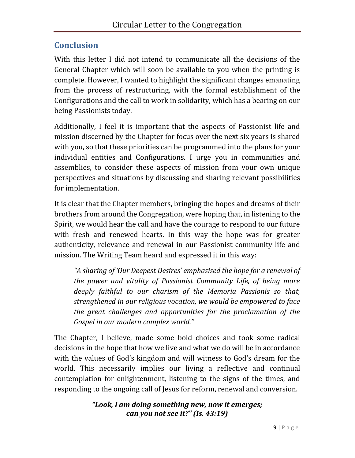## **Conclusion**

With this letter I did not intend to communicate all the decisions of the General Chapter which will soon be available to you when the printing is complete. However, I wanted to highlight the significant changes emanating from the process of restructuring, with the formal establishment of the Configurations and the call to work in solidarity, which has a bearing on our being Passionists today.

Additionally, I feel it is important that the aspects of Passionist life and mission discerned by the Chapter for focus over the next six years is shared with you, so that these priorities can be programmed into the plans for your individual entities and Configurations. I urge you in communities and assemblies, to consider these aspects of mission from your own unique perspectives and situations by discussing and sharing relevant possibilities for implementation.

It is clear that the Chapter members, bringing the hopes and dreams of their brothers from around the Congregation, were hoping that, in listening to the Spirit, we would hear the call and have the courage to respond to our future with fresh and renewed hearts. In this way the hope was for greater authenticity, relevance and renewal in our Passionist community life and mission. The Writing Team heard and expressed it in this way:

*"A sharing of 'Our Deepest Desires' emphasised the hope for a renewal of the power and vitality of Passionist Community Life, of being more deeply faithful to our charism of the Memoria Passionis so that, strengthened in our religious vocation, we would be empowered to face the great challenges and opportunities for the proclamation of the Gospel in our modern complex world."*

The Chapter, I believe, made some bold choices and took some radical decisions in the hope that how we live and what we do will be in accordance with the values of God's kingdom and will witness to God's dream for the world. This necessarily implies our living a reflective and continual contemplation for enlightenment, listening to the signs of the times, and responding to the ongoing call of Jesus for reform, renewal and conversion.

> *"Look, I am doing something new, now it emerges; can you not see it?" (Is. 43:19)*